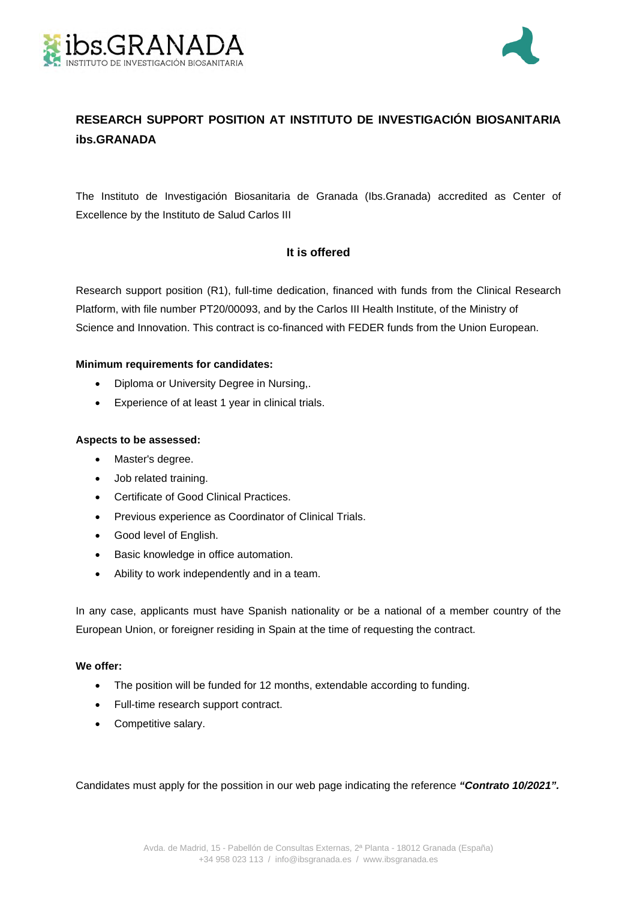



# **RESEARCH SUPPORT POSITION AT INSTITUTO DE INVESTIGACIÓN BIOSANITARIA ibs.GRANADA**

The Instituto de Investigación Biosanitaria de Granada (Ibs.Granada) accredited as Center of Excellence by the Instituto de Salud Carlos III

## **It is offered**

Research support position (R1), full-time dedication, financed with funds from the Clinical Research Platform, with file number PT20/00093, and by the Carlos III Health Institute, of the Ministry of Science and Innovation. This contract is co-financed with FEDER funds from the Union European.

### **Minimum requirements for candidates:**

- Diploma or University Degree in Nursing,.
- Experience of at least 1 year in clinical trials.

### **Aspects to be assessed:**

- Master's degree.
- Job related training.
- Certificate of Good Clinical Practices.
- Previous experience as Coordinator of Clinical Trials.
- Good level of English.
- **•** Basic knowledge in office automation.
- Ability to work independently and in a team.

In any case, applicants must have Spanish nationality or be a national of a member country of the European Union, or foreigner residing in Spain at the time of requesting the contract.

### **We offer:**

- The position will be funded for 12 months, extendable according to funding.
- Full-time research support contract.
- Competitive salary.

Candidates must apply for the possition in our web page indicating the reference *"Contrato 10/2021".*